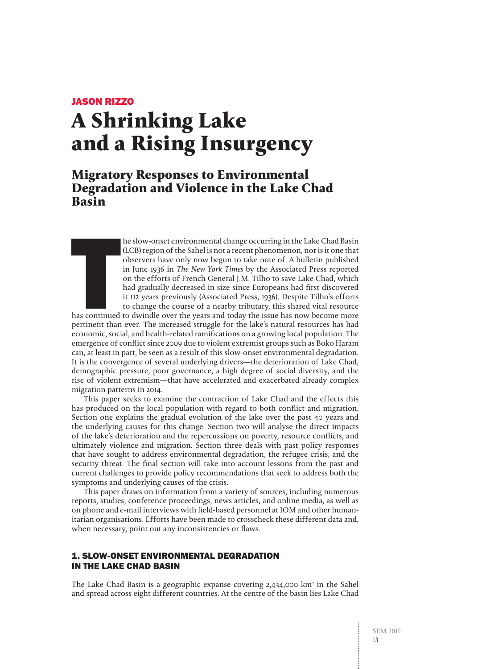## JASON RIZZO

# **A Shrinking Lake and a Rising Insurgency**

# **Migratory Responses to Environmental Degradation and Violence in the Lake Chad Basin**

he slow-onset environmental change occurring in the Lake Chad Basin (LCB) region of the Sahel is not a recent phenomenon, nor is it one that observers have only now begun to take note of. A bulletin published in June 1936 in The New York Times by the Associated Press reported on the efforts of French General J.M. Tilho to save Lake Chad, which had gradually decreased in size since Europeans had first discovered it 112 years previously (Associated Press, 1936). Despite Tilho's efforts to change the course of a nearby tributary, this shared vital resource

**THE**<br>Thas continued<br>pertinent than has continued to dwindle over the years and today the issue has now become more pertinent than ever. The increased struggle for the lake's natural resources has had economic, social, and health-related ramifications on a growing local population. The emergence of conflict since 2009 due to violent extremist groups such as Boko Haram can, at least in part, be seen as a result of this slow-onset environmental degradation. It is the convergence of several underlying drivers—the deterioration of Lake Chad, demographic pressure, poor governance, a high degree of social diversity, and the rise of violent extremism—that have accelerated and exacerbated already complex migration patterns in 2014.

This paper seeks to examine the contraction of Lake Chad and the effects this has produced on the local population with regard to both conflict and migration. Section one explains the gradual evolution of the lake over the past 40 years and the underlying causes for this change. Section two will analyse the direct impacts of the lake's deterioration and the repercussions on poverty, resource conflicts, and ultimately violence and migration. Section three deals with past policy responses that have sought to address environmental degradation, the refugee crisis, and the security threat. The final section will take into account lessons from the past and current challenges to provide policy recommendations that seek to address both the symptoms and underlying causes of the crisis.

This paper draws on information from a variety of sources, including numerous reports, studies, conference proceedings, news articles, and online media, as well as on phone and e-mail interviews with field-based personnel at IOM and other humanitarian organisations. Efforts have been made to crosscheck these different data and, when necessary, point out any inconsistencies or flaws.

# 1. SLOW-ONSET ENVIRONMENTAL DEGRADATION IN THE LAKE CHAD BASIN

The Lake Chad Basin is a geographic expanse covering  $2,434,000 \text{ km}^2$  in the Sahel and spread across eight different countries. At the centre of the basin lies Lake Chad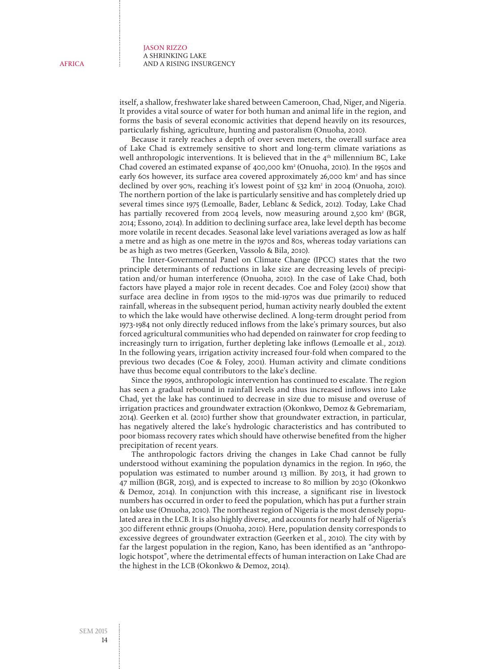itself, a shallow, freshwater lake shared between Cameroon, Chad, Niger, and Nigeria. It provides a vital source of water for both human and animal life in the region, and forms the basis of several economic activities that depend heavily on its resources, particularly fishing, agriculture, hunting and pastoralism (Onuoha, 2010).

Because it rarely reaches a depth of over seven meters, the overall surface area of Lake Chad is extremely sensitive to short and long-term climate variations as well anthropologic interventions. It is believed that in the  $4<sup>th</sup>$  millennium BC, Lake Chad covered an estimated expanse of 400,000 km2 (Onuoha, 2010). In the 1950s and early 60s however, its surface area covered approximately 26,000 km<sup>2</sup> and has since declined by over 90%, reaching it's lowest point of 532 km<sup>2</sup> in 2004 (Onuoha, 2010). The northern portion of the lake is particularly sensitive and has completely dried up several times since 1975 (Lemoalle, Bader, Leblanc & Sedick, 2012). Today, Lake Chad has partially recovered from 2004 levels, now measuring around 2,500 km<sup>2</sup> (BGR, 2014; Essono, 2014). In addition to declining surface area, lake level depth has become more volatile in recent decades. Seasonal lake level variations averaged as low as half a metre and as high as one metre in the 1970s and 80s, whereas today variations can be as high as two metres (Geerken, Vassolo & Bila, 2010).

The Inter-Governmental Panel on Climate Change (IPCC) states that the two principle determinants of reductions in lake size are decreasing levels of precipitation and/or human interference (Onuoha, 2010). In the case of Lake Chad, both factors have played a major role in recent decades. Coe and Foley (2001) show that surface area decline in from 1950s to the mid-1970s was due primarily to reduced rainfall, whereas in the subsequent period, human activity nearly doubled the extent to which the lake would have otherwise declined. A long-term drought period from 1973-1984 not only directly reduced inflows from the lake's primary sources, but also forced agricultural communities who had depended on rainwater for crop feeding to increasingly turn to irrigation, further depleting lake inflows (Lemoalle et al., 2012). In the following years, irrigation activity increased four-fold when compared to the previous two decades (Coe & Foley, 2001). Human activity and climate conditions have thus become equal contributors to the lake's decline.

Since the 1990s, anthropologic intervention has continued to escalate. The region has seen a gradual rebound in rainfall levels and thus increased inflows into Lake Chad, yet the lake has continued to decrease in size due to misuse and overuse of irrigation practices and groundwater extraction (Okonkwo, Demoz & Gebremariam, 2014). Geerken et al. (2010) further show that groundwater extraction, in particular, has negatively altered the lake's hydrologic characteristics and has contributed to poor biomass recovery rates which should have otherwise benefited from the higher precipitation of recent years.

The anthropologic factors driving the changes in Lake Chad cannot be fully understood without examining the population dynamics in the region. In 1960, the population was estimated to number around 13 million. By 2013, it had grown to 47 million (BGR, 2015), and is expected to increase to 80 million by 2030 (Okonkwo & Demoz, 2014). In conjunction with this increase, a significant rise in livestock numbers has occurred in order to feed the population, which has put a further strain on lake use (Onuoha, 2010). The northeast region of Nigeria is the most densely populated area in the LCB. It is also highly diverse, and accounts for nearly half of Nigeria's 300 different ethnic groups (Onuoha, 2010). Here, population density corresponds to excessive degrees of groundwater extraction (Geerken et al., 2010). The city with by far the largest population in the region, Kano, has been identified as an "anthropologic hotspot", where the detrimental effects of human interaction on Lake Chad are the highest in the LCB (Okonkwo & Demoz, 2014).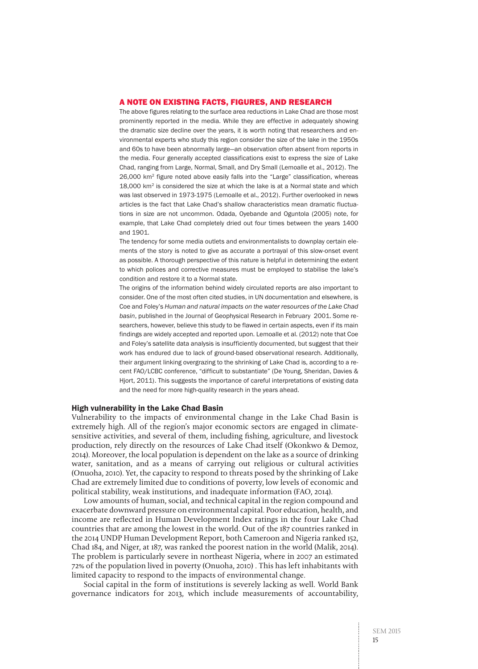#### A NOTE ON EXISTING FACTS, FIGURES, AND RESEARCH

The above figures relating to the surface area reductions in Lake Chad are those most prominently reported in the media. While they are effective in adequately showing the dramatic size decline over the years, it is worth noting that researchers and environmental experts who study this region consider the size of the lake in the 1950s and 60s to have been abnormally large—an observation often absent from reports in the media. Four generally accepted classifications exist to express the size of Lake Chad, ranging from Large, Normal, Small, and Dry Small (Lemoalle et al., 2012). The 26,000 km2 figure noted above easily falls into the "Large" classification, whereas 18,000 km2 is considered the size at which the lake is at a Normal state and which was last observed in 1973-1975 (Lemoalle et al., 2012). Further overlooked in news articles is the fact that Lake Chad's shallow characteristics mean dramatic fluctuations in size are not uncommon. Odada, Oyebande and Oguntola (2005) note, for example, that Lake Chad completely dried out four times between the years 1400 and 1901.

The tendency for some media outlets and environmentalists to downplay certain elements of the story is noted to give as accurate a portrayal of this slow-onset event as possible. A thorough perspective of this nature is helpful in determining the extent to which polices and corrective measures must be employed to stabilise the lake's condition and restore it to a Normal state.

The origins of the information behind widely circulated reports are also important to consider. One of the most often cited studies, in UN documentation and elsewhere, is Coe and Foley's *Human and natural impacts on the water resources of the Lake Chad basin*, published in the Journal of Geophysical Research in February 2001. Some researchers, however, believe this study to be flawed in certain aspects, even if its main findings are widely accepted and reported upon. Lemoalle et al. (2012) note that Coe and Foley's satellite data analysis is insufficiently documented, but suggest that their work has endured due to lack of ground-based observational research. Additionally, their argument linking overgrazing to the shrinking of Lake Chad is, according to a recent FAO/LCBC conference, "difficult to substantiate" (De Young, Sheridan, Davies & Hjort, 2011). This suggests the importance of careful interpretations of existing data and the need for more high-quality research in the years ahead.

#### High vulnerability in the Lake Chad Basin

Vulnerability to the impacts of environmental change in the Lake Chad Basin is extremely high. All of the region's major economic sectors are engaged in climatesensitive activities, and several of them, including fishing, agriculture, and livestock production, rely directly on the resources of Lake Chad itself (Okonkwo & Demoz, 2014). Moreover, the local population is dependent on the lake as a source of drinking water, sanitation, and as a means of carrying out religious or cultural activities (Onuoha, 2010). Yet, the capacity to respond to threats posed by the shrinking of Lake Chad are extremely limited due to conditions of poverty, low levels of economic and political stability, weak institutions, and inadequate information (FAO, 2014).

Low amounts of human, social, and technical capital in the region compound and exacerbate downward pressure on environmental capital. Poor education, health, and income are reflected in Human Development Index ratings in the four Lake Chad countries that are among the lowest in the world. Out of the 187 countries ranked in the 2014 UNDP Human Development Report, both Cameroon and Nigeria ranked 152, Chad 184, and Niger, at 187, was ranked the poorest nation in the world (Malik, 2014). The problem is particularly severe in northeast Nigeria, where in 2007 an estimated 72% of the population lived in poverty (Onuoha, 2010) . This has left inhabitants with limited capacity to respond to the impacts of environmental change.

Social capital in the form of institutions is severely lacking as well. World Bank governance indicators for 2013, which include measurements of accountability,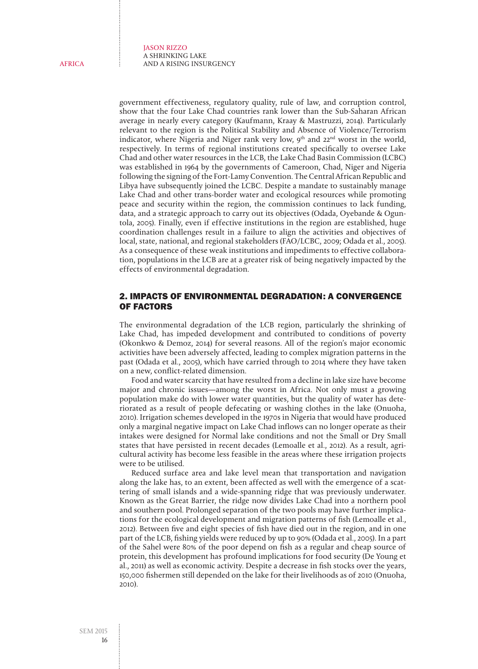government effectiveness, regulatory quality, rule of law, and corruption control, show that the four Lake Chad countries rank lower than the Sub-Saharan African average in nearly every category (Kaufmann, Kraay & Mastruzzi, 2014). Particularly relevant to the region is the Political Stability and Absence of Violence/Terrorism indicator, where Nigeria and Niger rank very low, 9<sup>th</sup> and 22<sup>nd</sup> worst in the world, respectively. In terms of regional institutions created specifically to oversee Lake Chad and other water resources in the LCB, the Lake Chad Basin Commission (LCBC) was established in 1964 by the governments of Cameroon, Chad, Niger and Nigeria following the signing of the Fort-Lamy Convention. The Central African Republic and Libya have subsequently joined the LCBC. Despite a mandate to sustainably manage Lake Chad and other trans-border water and ecological resources while promoting peace and security within the region, the commission continues to lack funding, data, and a strategic approach to carry out its objectives (Odada, Oyebande & Oguntola, 2005). Finally, even if effective institutions in the region are established, huge coordination challenges result in a failure to align the activities and objectives of local, state, national, and regional stakeholders (FAO/LCBC, 2009; Odada et al., 2005). As a consequence of these weak institutions and impediments to effective collaboration, populations in the LCB are at a greater risk of being negatively impacted by the effects of environmental degradation.

### 2. IMPACTS OF ENVIRONMENTAL DEGRADATION: A CONVERGENCE OF FACTORS

The environmental degradation of the LCB region, particularly the shrinking of Lake Chad, has impeded development and contributed to conditions of poverty (Okonkwo & Demoz, 2014) for several reasons. All of the region's major economic activities have been adversely affected, leading to complex migration patterns in the past (Odada et al., 2005), which have carried through to 2014 where they have taken on a new, conflict-related dimension.

Food and water scarcity that have resulted from a decline in lake size have become major and chronic issues—among the worst in Africa. Not only must a growing population make do with lower water quantities, but the quality of water has deteriorated as a result of people defecating or washing clothes in the lake (Onuoha, 2010). Irrigation schemes developed in the 1970s in Nigeria that would have produced only a marginal negative impact on Lake Chad inflows can no longer operate as their intakes were designed for Normal lake conditions and not the Small or Dry Small states that have persisted in recent decades (Lemoalle et al., 2012). As a result, agricultural activity has become less feasible in the areas where these irrigation projects were to be utilised.

Reduced surface area and lake level mean that transportation and navigation along the lake has, to an extent, been affected as well with the emergence of a scattering of small islands and a wide-spanning ridge that was previously underwater. Known as the Great Barrier, the ridge now divides Lake Chad into a northern pool and southern pool. Prolonged separation of the two pools may have further implications for the ecological development and migration patterns of fish (Lemoalle et al., 2012). Between five and eight species of fish have died out in the region, and in one part of the LCB, fishing yields were reduced by up to 90% (Odada et al., 2005). In a part of the Sahel were 80% of the poor depend on fish as a regular and cheap source of protein, this development has profound implications for food security (De Young et al., 2011) as well as economic activity. Despite a decrease in fish stocks over the years, 150,000 fishermen still depended on the lake for their livelihoods as of 2010 (Onuoha, 2010).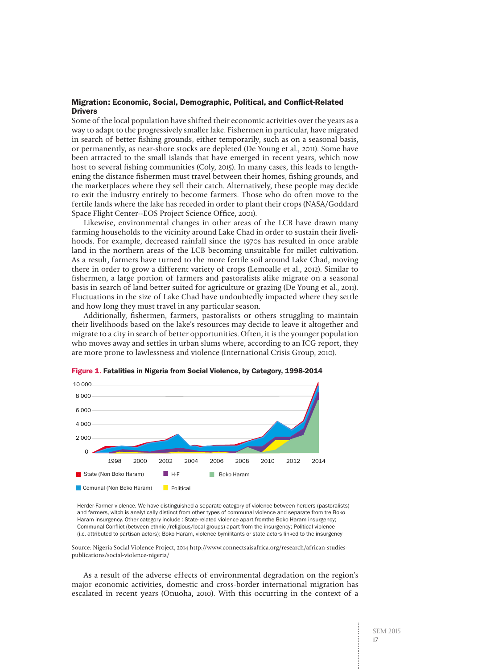#### Migration: Economic, Social, Demographic, Political, and Conflict-Related **Drivers**

Some of the local population have shifted their economic activities over the years as a way to adapt to the progressively smaller lake. Fishermen in particular, have migrated in search of better fishing grounds, either temporarily, such as on a seasonal basis, or permanently, as near-shore stocks are depleted (De Young et al., 2011). Some have been attracted to the small islands that have emerged in recent years, which now host to several fishing communities (Coly, 2015). In many cases, this leads to lengthening the distance fishermen must travel between their homes, fishing grounds, and the marketplaces where they sell their catch. Alternatively, these people may decide to exit the industry entirely to become farmers. Those who do often move to the fertile lands where the lake has receded in order to plant their crops (NASA/Goddard Space Flight Center--EOS Project Science Office, 2001).

Likewise, environmental changes in other areas of the LCB have drawn many farming households to the vicinity around Lake Chad in order to sustain their livelihoods. For example, decreased rainfall since the 1970s has resulted in once arable land in the northern areas of the LCB becoming unsuitable for millet cultivation. As a result, farmers have turned to the more fertile soil around Lake Chad, moving there in order to grow a different variety of crops (Lemoalle et al., 2012). Similar to fishermen, a large portion of farmers and pastoralists alike migrate on a seasonal basis in search of land better suited for agriculture or grazing (De Young et al., 2011). Fluctuations in the size of Lake Chad have undoubtedly impacted where they settle and how long they must travel in any particular season.

Additionally, fishermen, farmers, pastoralists or others struggling to maintain their livelihoods based on the lake's resources may decide to leave it altogether and migrate to a city in search of better opportunities. Often, it is the younger population who moves away and settles in urban slums where, according to an ICG report, they are more prone to lawlessness and violence (International Crisis Group, 2010).



Figure 1. Fatalities in Nigeria from Social Violence, by Category, 1998-2014

Herder-Farmer violence. We have distinguished a separate category of violence between herders (pastoralists) and farmers, witch is analytically distinct from other types of communal violence and separate from tre Boko Haram insurgency. Other category include : State-related violence apart fromthe Boko Haram insurgency; Communal Conflict (between ethnic /religious/local groups) apart from the insurgency; Political violence (i.c. attributed to partisan actors); Boko Haram, violence bymilitants or state actors linked to the insurgency

Source: Nigeria Social Violence Project, 2014 [http://www.connectsaisafrica.org/research/african-studies](http://www.connectsaisafrica.org/research/african-studies-publications/social-violence-nigeria/)[publications/social-violence-nigeria/](http://www.connectsaisafrica.org/research/african-studies-publications/social-violence-nigeria/)

As a result of the adverse effects of environmental degradation on the region's major economic activities, domestic and cross-border international migration has escalated in recent years (Onuoha, 2010). With this occurring in the context of a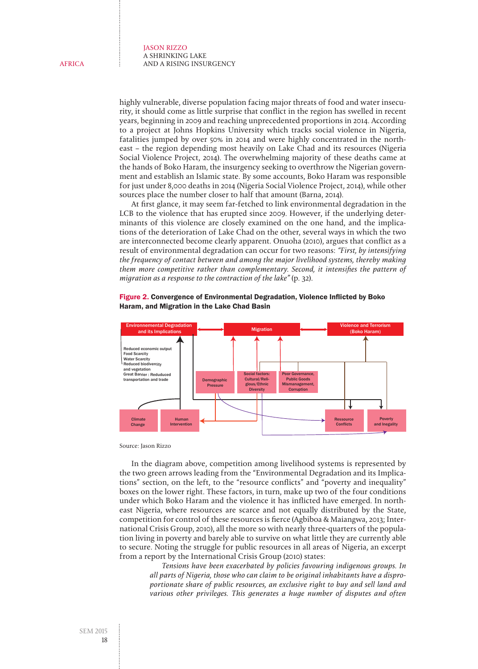highly vulnerable, diverse population facing major threats of food and water insecurity, it should come as little surprise that conflict in the region has swelled in recent years, beginning in 2009 and reaching unprecedented proportions in 2014. According to a project at Johns Hopkins University which tracks social violence in Nigeria, fatalities jumped by over 50% in 2014 and were highly concentrated in the northeast – the region depending most heavily on Lake Chad and its resources (Nigeria Social Violence Project, 2014). The overwhelming majority of these deaths came at the hands of Boko Haram, the insurgency seeking to overthrow the Nigerian government and establish an Islamic state. By some accounts, Boko Haram was responsible for just under 8,000 deaths in 2014 (Nigeria Social Violence Project, 2014), while other sources place the number closer to half that amount (Barna, 2014).

At first glance, it may seem far-fetched to link environmental degradation in the LCB to the violence that has erupted since 2009. However, if the underlying determinants of this violence are closely examined on the one hand, and the implications of the deterioration of Lake Chad on the other, several ways in which the two are interconnected become clearly apparent. Onuoha (2010), argues that conflict as a result of environmental degradation can occur for two reasons: "First, by intensifying the frequency of contact between and among the major livelihood systems, thereby making them more competitive rather than complementary. Second, it intensifies the pattern of migration as a response to the contraction of the lake" (p. 32).



Figure 2. Convergence of Environmental Degradation, Violence Inflicted by Boko Haram, and Migration in the Lake Chad Basin

Source: Jason Rizzo

In the diagram above, competition among livelihood systems is represented by the two green arrows leading from the "Environmental Degradation and its Implications" section, on the left, to the "resource conflicts" and "poverty and inequality" boxes on the lower right. These factors, in turn, make up two of the four conditions under which Boko Haram and the violence it has inflicted have emerged. In northeast Nigeria, where resources are scarce and not equally distributed by the State, competition for control of these resources is fierce (Agbiboa & Maiangwa, 2013; International Crisis Group, 2010), all the more so with nearly three-quarters of the population living in poverty and barely able to survive on what little they are currently able to secure. Noting the struggle for public resources in all areas of Nigeria, an excerpt from a report by the International Crisis Group (2010) states:

> Tensions have been exacerbated by policies favouring indigenous groups. In all parts of Nigeria, those who can claim to be original inhabitants have a disproportionate share of public resources, an exclusive right to buy and sell land and various other privileges. This generates a huge number of disputes and often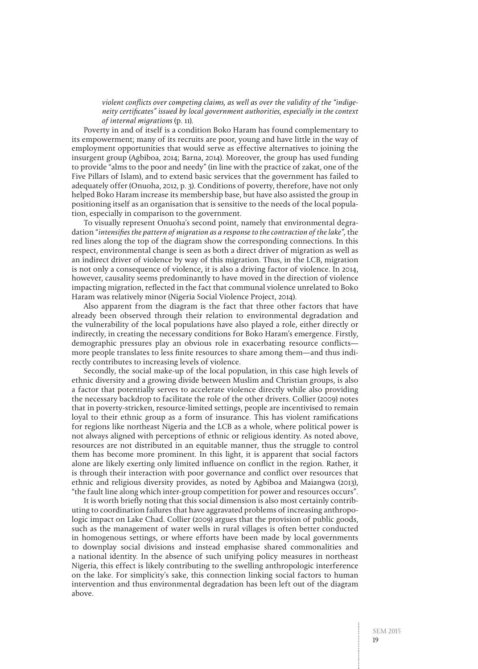violent conflicts over competing claims, as well as over the validity of the "indigeneity certificates" issued by local government authorities, especially in the context of internal migrations (p. 11).

Poverty in and of itself is a condition Boko Haram has found complementary to its empowerment; many of its recruits are poor, young and have little in the way of employment opportunities that would serve as effective alternatives to joining the insurgent group (Agbiboa, 2014; Barna, 2014). Moreover, the group has used funding to provide "alms to the poor and needy" (in line with the practice of zakat, one of the Five Pillars of Islam), and to extend basic services that the government has failed to adequately offer (Onuoha, 2012, p. 3). Conditions of poverty, therefore, have not only helped Boko Haram increase its membership base, but have also assisted the group in positioning itself as an organisation that is sensitive to the needs of the local population, especially in comparison to the government.

To visually represent Onuoha's second point, namely that environmental degradation "intensifies the pattern of migration as a response to the contraction of the lake", the red lines along the top of the diagram show the corresponding connections. In this respect, environmental change is seen as both a direct driver of migration as well as an indirect driver of violence by way of this migration. Thus, in the LCB, migration is not only a consequence of violence, it is also a driving factor of violence. In 2014, however, causality seems predominantly to have moved in the direction of violence impacting migration, reflected in the fact that communal violence unrelated to Boko Haram was relatively minor (Nigeria Social Violence Project, 2014).

Also apparent from the diagram is the fact that three other factors that have already been observed through their relation to environmental degradation and the vulnerability of the local populations have also played a role, either directly or indirectly, in creating the necessary conditions for Boko Haram's emergence. Firstly, demographic pressures play an obvious role in exacerbating resource conflicts more people translates to less finite resources to share among them—and thus indirectly contributes to increasing levels of violence.

Secondly, the social make-up of the local population, in this case high levels of ethnic diversity and a growing divide between Muslim and Christian groups, is also a factor that potentially serves to accelerate violence directly while also providing the necessary backdrop to facilitate the role of the other drivers. Collier (2009) notes that in poverty-stricken, resource-limited settings, people are incentivised to remain loyal to their ethnic group as a form of insurance. This has violent ramifications for regions like northeast Nigeria and the LCB as a whole, where political power is not always aligned with perceptions of ethnic or religious identity. As noted above, resources are not distributed in an equitable manner, thus the struggle to control them has become more prominent. In this light, it is apparent that social factors alone are likely exerting only limited influence on conflict in the region. Rather, it is through their interaction with poor governance and conflict over resources that ethnic and religious diversity provides, as noted by Agbiboa and Maiangwa (2013), "the fault line along which inter-group competition for power and resources occurs".

It is worth briefly noting that this social dimension is also most certainly contributing to coordination failures that have aggravated problems of increasing anthropologic impact on Lake Chad. Collier (2009) argues that the provision of public goods, such as the management of water wells in rural villages is often better conducted in homogenous settings, or where efforts have been made by local governments to downplay social divisions and instead emphasise shared commonalities and a national identity. In the absence of such unifying policy measures in northeast Nigeria, this effect is likely contributing to the swelling anthropologic interference on the lake. For simplicity's sake, this connection linking social factors to human intervention and thus environmental degradation has been left out of the diagram above.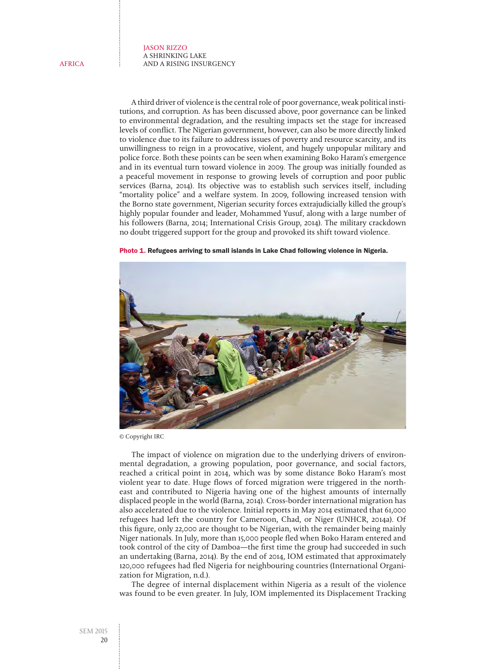A third driver of violence is the central role of poor governance, weak political institutions, and corruption. As has been discussed above, poor governance can be linked to environmental degradation, and the resulting impacts set the stage for increased levels of conflict. The Nigerian government, however, can also be more directly linked to violence due to its failure to address issues of poverty and resource scarcity, and its unwillingness to reign in a provocative, violent, and hugely unpopular military and police force. Both these points can be seen when examining Boko Haram's emergence and in its eventual turn toward violence in 2009. The group was initially founded as a peaceful movement in response to growing levels of corruption and poor public services (Barna, 2014). Its objective was to establish such services itself, including "mortality police" and a welfare system. In 2009, following increased tension with the Borno state government, Nigerian security forces extrajudicially killed the group's highly popular founder and leader, Mohammed Yusuf, along with a large number of his followers (Barna, 2014; International Crisis Group, 2014). The military crackdown no doubt triggered support for the group and provoked its shift toward violence.





© Copyright IRC

The impact of violence on migration due to the underlying drivers of environmental degradation, a growing population, poor governance, and social factors, reached a critical point in 2014, which was by some distance Boko Haram's most violent year to date. Huge flows of forced migration were triggered in the northeast and contributed to Nigeria having one of the highest amounts of internally displaced people in the world (Barna, 2014). Cross-border international migration has also accelerated due to the violence. Initial reports in May 2014 estimated that 61,000 refugees had left the country for Cameroon, Chad, or Niger (UNHCR, 2014a). Of this figure, only 22,000 are thought to be Nigerian, with the remainder being mainly Niger nationals. In July, more than 15,000 people fled when Boko Haram entered and took control of the city of Damboa—the first time the group had succeeded in such an undertaking (Barna, 2014). By the end of 2014, IOM estimated that approximately 120,000 refugees had fled Nigeria for neighbouring countries (International Organization for Migration, n.d.).

The degree of internal displacement within Nigeria as a result of the violence was found to be even greater. In July, IOM implemented its Displacement Tracking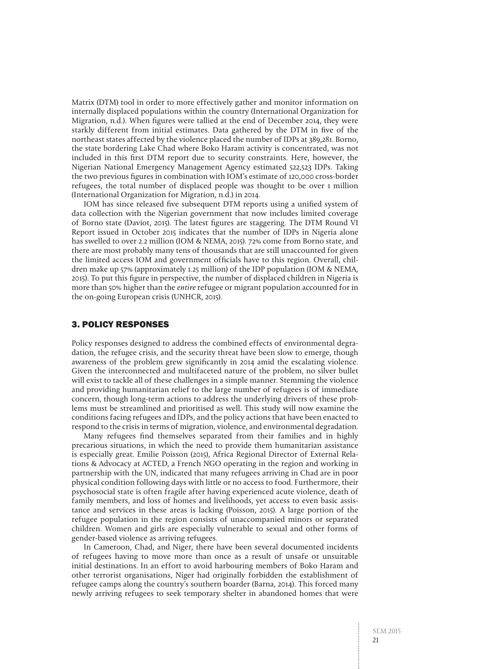Matrix (DTM) tool in order to more effectively gather and monitor information on internally displaced populations within the country (International Organization for Migration, n.d.). When figures were tallied at the end of December 2014, they were starkly different from initial estimates. Data gathered by the DTM in five of the northeast states affected by the violence placed the number of IDPs at 389,281. Borno, the state bordering Lake Chad where Boko Haram activity is concentrated, was not included in this first DTM report due to security constraints. Here, however, the Nigerian National Emergency Management Agency estimated 522,523 IDPs. Taking the two previous figures in combination with IOM's estimate of 120,000 cross-border refugees, the total number of displaced people was thought to be over 1 million (International Organization for Migration, n.d.) in 2014.

IOM has since released five subsequent DTM reports using a unified system of data collection with the Nigerian government that now includes limited coverage of Borno state (Daviot, 2015). The latest figures are staggering. The DTM Round VI Report issued in October 2015 indicates that the number of IDPs in Nigeria alone has swelled to over 2.2 million (IOM & NEMA, 2015). 72% come from Borno state, and there are most probably many tens of thousands that are still unaccounted for given the limited access IOM and government officials have to this region. Overall, children make up 57% (approximately 1.25 million) of the IDP population (IOM & NEMA, 2015). To put this figure in perspective, the number of displaced children in Nigeria is more than 50% higher than the entire refugee or migrant population accounted for in the on-going European crisis (UNHCR, 2015).

#### 3. POLICY RESPONSES

Policy responses designed to address the combined effects of environmental degradation, the refugee crisis, and the security threat have been slow to emerge, though awareness of the problem grew significantly in 2014 amid the escalating violence. Given the interconnected and multifaceted nature of the problem, no silver bullet will exist to tackle all of these challenges in a simple manner. Stemming the violence and providing humanitarian relief to the large number of refugees is of immediate concern, though long-term actions to address the underlying drivers of these problems must be streamlined and prioritised as well. This study will now examine the conditions facing refugees and IDPs, and the policy actions that have been enacted to respond to the crisis in terms of migration, violence, and environmental degradation.

Many refugees find themselves separated from their families and in highly precarious situations, in which the need to provide them humanitarian assistance is especially great. Emilie Poisson (2015), Africa Regional Director of External Relations & Advocacy at ACTED, a French NGO operating in the region and working in partnership with the UN, indicated that many refugees arriving in Chad are in poor physical condition following days with little or no access to food. Furthermore, their psychosocial state is often fragile after having experienced acute violence, death of family members, and loss of homes and livelihoods, yet access to even basic assistance and services in these areas is lacking (Poisson, 2015). A large portion of the refugee population in the region consists of unaccompanied minors or separated children. Women and girls are especially vulnerable to sexual and other forms of gender-based violence as arriving refugees.

In Cameroon, Chad, and Niger, there have been several documented incidents of refugees having to move more than once as a result of unsafe or unsuitable initial destinations. In an effort to avoid harbouring members of Boko Haram and other terrorist organisations, Niger had originally forbidden the establishment of refugee camps along the country's southern boarder (Barna, 2014). This forced many newly arriving refugees to seek temporary shelter in abandoned homes that were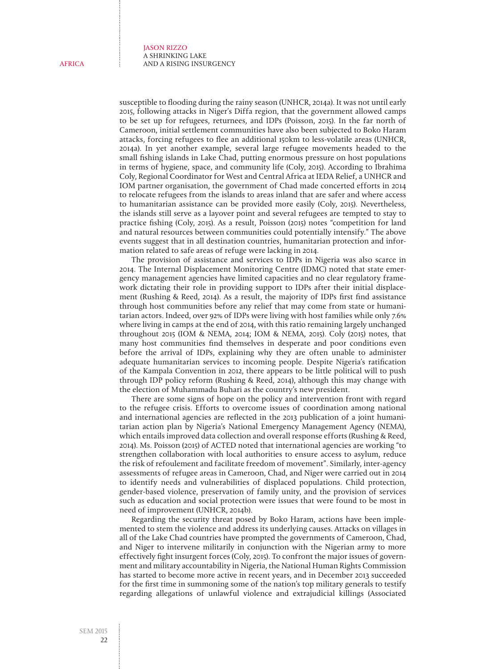susceptible to flooding during the rainy season (UNHCR, 2014a). It was not until early 2015, following attacks in Niger's Diffa region, that the government allowed camps to be set up for refugees, returnees, and IDPs (Poisson, 2015). In the far north of Cameroon, initial settlement communities have also been subjected to Boko Haram attacks, forcing refugees to flee an additional 150km to less-volatile areas (UNHCR, 2014a). In yet another example, several large refugee movements headed to the small fishing islands in Lake Chad, putting enormous pressure on host populations in terms of hygiene, space, and community life (Coly, 2015). According to Ibrahima Coly, Regional Coordinator for West and Central Africa at IEDA Relief, a UNHCR and IOM partner organisation, the government of Chad made concerted efforts in 2014 to relocate refugees from the islands to areas inland that are safer and where access to humanitarian assistance can be provided more easily (Coly, 2015). Nevertheless, the islands still serve as a layover point and several refugees are tempted to stay to practice fishing (Coly, 2015). As a result, Poisson (2015) notes "competition for land and natural resources between communities could potentially intensify." The above events suggest that in all destination countries, humanitarian protection and information related to safe areas of refuge were lacking in 2014.

The provision of assistance and services to IDPs in Nigeria was also scarce in 2014. The Internal Displacement Monitoring Centre (IDMC) noted that state emergency management agencies have limited capacities and no clear regulatory framework dictating their role in providing support to IDPs after their initial displacement (Rushing & Reed, 2014). As a result, the majority of IDPs first find assistance through host communities before any relief that may come from state or humanitarian actors. Indeed, over 92% of IDPs were living with host families while only 7.6% where living in camps at the end of 2014, with this ratio remaining largely unchanged throughout 2015 (IOM & NEMA, 2014; IOM & NEMA, 2015). Coly (2015) notes, that many host communities find themselves in desperate and poor conditions even before the arrival of IDPs, explaining why they are often unable to administer adequate humanitarian services to incoming people. Despite Nigeria's ratification of the Kampala Convention in 2012, there appears to be little political will to push through IDP policy reform (Rushing & Reed, 2014), although this may change with the election of Muhammadu Buhari as the country's new president.

There are some signs of hope on the policy and intervention front with regard to the refugee crisis. Efforts to overcome issues of coordination among national and international agencies are reflected in the 2013 publication of a joint humanitarian action plan by Nigeria's National Emergency Management Agency (NEMA), which entails improved data collection and overall response efforts (Rushing & Reed, 2014). Ms. Poisson (2015) of ACTED noted that international agencies are working "to strengthen collaboration with local authorities to ensure access to asylum, reduce the risk of refoulement and facilitate freedom of movement". Similarly, inter-agency assessments of refugee areas in Cameroon, Chad, and Niger were carried out in 2014 to identify needs and vulnerabilities of displaced populations. Child protection, gender-based violence, preservation of family unity, and the provision of services such as education and social protection were issues that were found to be most in need of improvement (UNHCR, 2014b).

Regarding the security threat posed by Boko Haram, actions have been implemented to stem the violence and address its underlying causes. Attacks on villages in all of the Lake Chad countries have prompted the governments of Cameroon, Chad, and Niger to intervene militarily in conjunction with the Nigerian army to more effectively fight insurgent forces (Coly, 2015). To confront the major issues of government and military accountability in Nigeria, the National Human Rights Commission has started to become more active in recent years, and in December 2013 succeeded for the first time in summoning some of the nation's top military generals to testify regarding allegations of unlawful violence and extrajudicial killings (Associated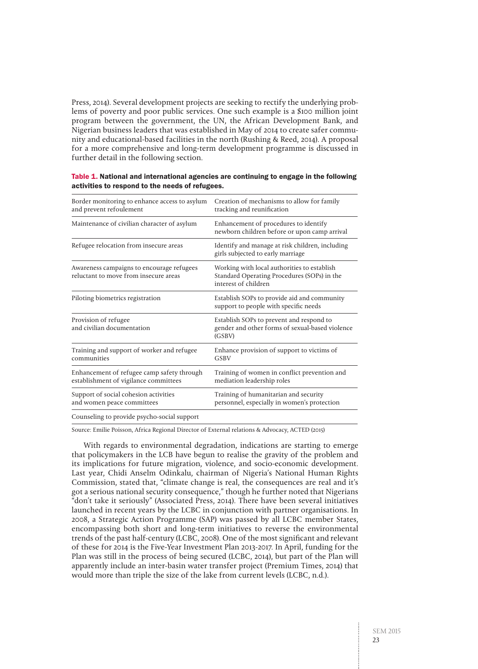Press, 2014). Several development projects are seeking to rectify the underlying problems of poverty and poor public services. One such example is a \$100 million joint program between the government, the UN, the African Development Bank, and Nigerian business leaders that was established in May of 2014 to create safer community and educational-based facilities in the north (Rushing & Reed, 2014). A proposal for a more comprehensive and long-term development programme is discussed in further detail in the following section.

| Border monitoring to enhance access to asylum<br>and prevent refoulement            | Creation of mechanisms to allow for family<br>tracking and reunification                                           |
|-------------------------------------------------------------------------------------|--------------------------------------------------------------------------------------------------------------------|
| Maintenance of civilian character of asylum                                         | Enhancement of procedures to identify<br>newborn children before or upon camp arrival                              |
| Refugee relocation from insecure areas                                              | Identify and manage at risk children, including<br>girls subjected to early marriage                               |
| Awareness campaigns to encourage refugees<br>reluctant to move from insecure areas  | Working with local authorities to establish<br>Standard Operating Procedures (SOPs) in the<br>interest of children |
| Piloting biometrics registration                                                    | Establish SOPs to provide aid and community<br>support to people with specific needs                               |
| Provision of refugee<br>and civilian documentation                                  | Establish SOPs to prevent and respond to<br>gender and other forms of sexual-based violence<br>(GSBV)              |
| Training and support of worker and refugee<br>communities                           | Enhance provision of support to victims of<br>GSBV                                                                 |
| Enhancement of refugee camp safety through<br>establishment of vigilance committees | Training of women in conflict prevention and<br>mediation leadership roles                                         |
| Support of social cohesion activities<br>and women peace committees                 | Training of humanitarian and security<br>personnel, especially in women's protection                               |
| Counseling to provide psycho-social support                                         |                                                                                                                    |

| Table 1. National and international agencies are continuing to engage in the following |
|----------------------------------------------------------------------------------------|
| activities to respond to the needs of refugees.                                        |

Source: Emilie Poisson, Africa Regional Director of External relations & Advocacy, ACTED (2015)

With regards to environmental degradation, indications are starting to emerge that policymakers in the LCB have begun to realise the gravity of the problem and its implications for future migration, violence, and socio-economic development. Last year, Chidi Anselm Odinkalu, chairman of Nigeria's National Human Rights Commission, stated that, "climate change is real, the consequences are real and it's got a serious national security consequence," though he further noted that Nigerians "don't take it seriously" (Associated Press, 2014). There have been several initiatives launched in recent years by the LCBC in conjunction with partner organisations. In 2008, a Strategic Action Programme (SAP) was passed by all LCBC member States, encompassing both short and long-term initiatives to reverse the environmental trends of the past half-century (LCBC, 2008). One of the most significant and relevant of these for 2014 is the Five-Year Investment Plan 2013-2017. In April, funding for the Plan was still in the process of being secured (LCBC, 2014), but part of the Plan will apparently include an inter-basin water transfer project (Premium Times, 2014) that would more than triple the size of the lake from current levels (LCBC, n.d.).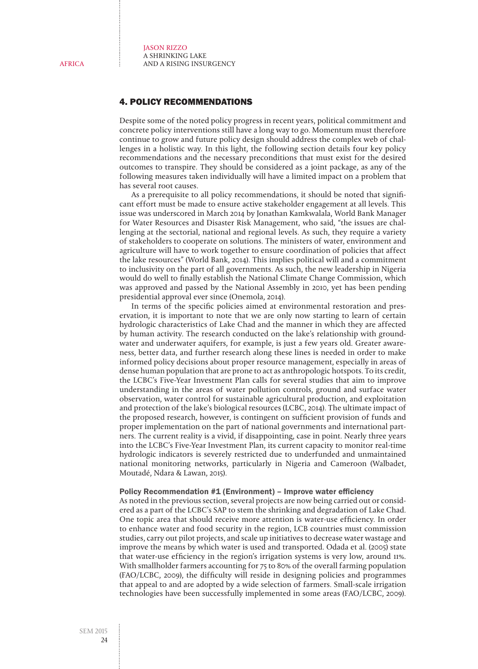# 4. POLICY RECOMMENDATIONS

Despite some of the noted policy progress in recent years, political commitment and concrete policy interventions still have a long way to go. Momentum must therefore continue to grow and future policy design should address the complex web of challenges in a holistic way. In this light, the following section details four key policy recommendations and the necessary preconditions that must exist for the desired outcomes to transpire. They should be considered as a joint package, as any of the following measures taken individually will have a limited impact on a problem that has several root causes.

As a prerequisite to all policy recommendations, it should be noted that significant effort must be made to ensure active stakeholder engagement at all levels. This issue was underscored in March 2014 by Jonathan Kamkwalala, World Bank Manager for Water Resources and Disaster Risk Management, who said, "the issues are challenging at the sectorial, national and regional levels. As such, they require a variety of stakeholders to cooperate on solutions. The ministers of water, environment and agriculture will have to work together to ensure coordination of policies that affect the lake resources" (World Bank, 2014). This implies political will and a commitment to inclusivity on the part of all governments. As such, the new leadership in Nigeria would do well to finally establish the National Climate Change Commission, which was approved and passed by the National Assembly in 2010, yet has been pending presidential approval ever since (Onemola, 2014).

In terms of the specific policies aimed at environmental restoration and preservation, it is important to note that we are only now starting to learn of certain hydrologic characteristics of Lake Chad and the manner in which they are affected by human activity. The research conducted on the lake's relationship with groundwater and underwater aquifers, for example, is just a few years old. Greater awareness, better data, and further research along these lines is needed in order to make informed policy decisions about proper resource management, especially in areas of dense human population that are prone to act as anthropologic hotspots. To its credit, the LCBC's Five-Year Investment Plan calls for several studies that aim to improve understanding in the areas of water pollution controls, ground and surface water observation, water control for sustainable agricultural production, and exploitation and protection of the lake's biological resources (LCBC, 2014). The ultimate impact of the proposed research, however, is contingent on sufficient provision of funds and proper implementation on the part of national governments and international partners. The current reality is a vivid, if disappointing, case in point. Nearly three years into the LCBC's Five-Year Investment Plan, its current capacity to monitor real-time hydrologic indicators is severely restricted due to underfunded and unmaintained national monitoring networks, particularly in Nigeria and Cameroon (Walbadet, Moutadé, Ndara & Lawan, 2015).

#### Policy Recommendation #1 (Environment) – Improve water efficiency

As noted in the previous section, several projects are now being carried out or considered as a part of the LCBC's SAP to stem the shrinking and degradation of Lake Chad. One topic area that should receive more attention is water-use efficiency. In order to enhance water and food security in the region, LCB countries must commission studies, carry out pilot projects, and scale up initiatives to decrease water wastage and improve the means by which water is used and transported. Odada et al. (2005) state that water-use efficiency in the region's irrigation systems is very low, around 11%. With smallholder farmers accounting for 75 to 80% of the overall farming population (FAO/LCBC, 2009), the difficulty will reside in designing policies and programmes that appeal to and are adopted by a wide selection of farmers. Small-scale irrigation technologies have been successfully implemented in some areas (FAO/LCBC, 2009).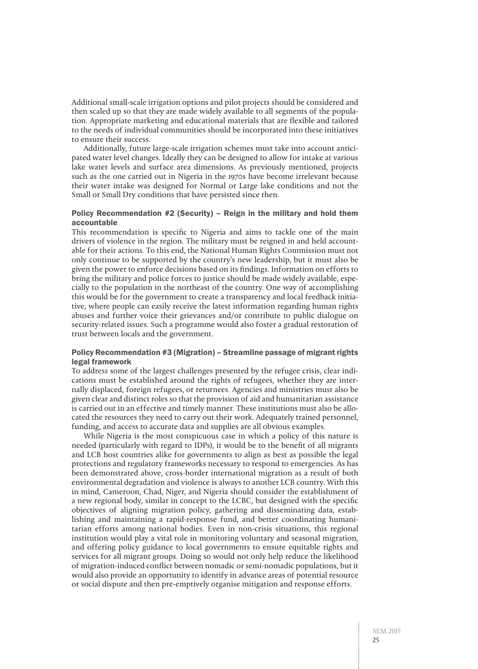Additional small-scale irrigation options and pilot projects should be considered and then scaled up so that they are made widely available to all segments of the population. Appropriate marketing and educational materials that are flexible and tailored to the needs of individual communities should be incorporated into these initiatives to ensure their success.

Additionally, future large-scale irrigation schemes must take into account anticipated water level changes. Ideally they can be designed to allow for intake at various lake water levels and surface area dimensions. As previously mentioned, projects such as the one carried out in Nigeria in the 1970s have become irrelevant because their water intake was designed for Normal or Large lake conditions and not the Small or Small Dry conditions that have persisted since then.

#### Policy Recommendation #2 (Security) – Reign in the military and hold them accountable

This recommendation is specific to Nigeria and aims to tackle one of the main drivers of violence in the region. The military must be reigned in and held accountable for their actions. To this end, the National Human Rights Commission must not only continue to be supported by the country's new leadership, but it must also be given the power to enforce decisions based on its findings. Information on efforts to bring the military and police forces to justice should be made widely available, especially to the population in the northeast of the country. One way of accomplishing this would be for the government to create a transparency and local feedback initiative, where people can easily receive the latest information regarding human rights abuses and further voice their grievances and/or contribute to public dialogue on security-related issues. Such a programme would also foster a gradual restoration of trust between locals and the government.

#### Policy Recommendation #3 (Migration) – Streamline passage of migrant rights legal framework

To address some of the largest challenges presented by the refugee crisis, clear indications must be established around the rights of refugees, whether they are internally displaced, foreign refugees, or returnees. Agencies and ministries must also be given clear and distinct roles so that the provision of aid and humanitarian assistance is carried out in an effective and timely manner. These institutions must also be allocated the resources they need to carry out their work. Adequately trained personnel, funding, and access to accurate data and supplies are all obvious examples.

While Nigeria is the most conspicuous case in which a policy of this nature is needed (particularly with regard to IDPs), it would be to the benefit of all migrants and LCB host countries alike for governments to align as best as possible the legal protections and regulatory frameworks necessary to respond to emergencies. As has been demonstrated above, cross-border international migration as a result of both environmental degradation and violence is always to another LCB country. With this in mind, Cameroon, Chad, Niger, and Nigeria should consider the establishment of a new regional body, similar in concept to the LCBC, but designed with the specific objectives of aligning migration policy, gathering and disseminating data, establishing and maintaining a rapid-response fund, and better coordinating humanitarian efforts among national bodies. Even in non-crisis situations, this regional institution would play a vital role in monitoring voluntary and seasonal migration, and offering policy guidance to local governments to ensure equitable rights and services for all migrant groups. Doing so would not only help reduce the likelihood of migration-induced conflict between nomadic or semi-nomadic populations, but it would also provide an opportunity to identify in advance areas of potential resource or social dispute and then pre-emptively organise mitigation and response efforts.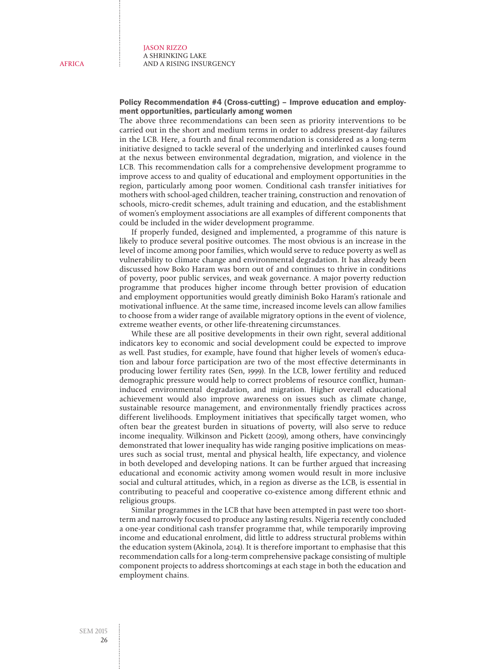Policy Recommendation #4 (Cross-cutting) – Improve education and employment opportunities, particularly among women

The above three recommendations can been seen as priority interventions to be carried out in the short and medium terms in order to address present-day failures in the LCB. Here, a fourth and final recommendation is considered as a long-term initiative designed to tackle several of the underlying and interlinked causes found at the nexus between environmental degradation, migration, and violence in the LCB. This recommendation calls for a comprehensive development programme to improve access to and quality of educational and employment opportunities in the region, particularly among poor women. Conditional cash transfer initiatives for mothers with school-aged children, teacher training, construction and renovation of schools, micro-credit schemes, adult training and education, and the establishment of women's employment associations are all examples of different components that could be included in the wider development programme.

If properly funded, designed and implemented, a programme of this nature is likely to produce several positive outcomes. The most obvious is an increase in the level of income among poor families, which would serve to reduce poverty as well as vulnerability to climate change and environmental degradation. It has already been discussed how Boko Haram was born out of and continues to thrive in conditions of poverty, poor public services, and weak governance. A major poverty reduction programme that produces higher income through better provision of education and employment opportunities would greatly diminish Boko Haram's rationale and motivational influence. At the same time, increased income levels can allow families to choose from a wider range of available migratory options in the event of violence, extreme weather events, or other life-threatening circumstances.

While these are all positive developments in their own right, several additional indicators key to economic and social development could be expected to improve as well. Past studies, for example, have found that higher levels of women's education and labour force participation are two of the most effective determinants in producing lower fertility rates (Sen, 1999). In the LCB, lower fertility and reduced demographic pressure would help to correct problems of resource conflict, humaninduced environmental degradation, and migration. Higher overall educational achievement would also improve awareness on issues such as climate change, sustainable resource management, and environmentally friendly practices across different livelihoods. Employment initiatives that specifically target women, who often bear the greatest burden in situations of poverty, will also serve to reduce income inequality. Wilkinson and Pickett (2009), among others, have convincingly demonstrated that lower inequality has wide ranging positive implications on measures such as social trust, mental and physical health, life expectancy, and violence in both developed and developing nations. It can be further argued that increasing educational and economic activity among women would result in more inclusive social and cultural attitudes, which, in a region as diverse as the LCB, is essential in contributing to peaceful and cooperative co-existence among different ethnic and religious groups.

Similar programmes in the LCB that have been attempted in past were too shortterm and narrowly focused to produce any lasting results. Nigeria recently concluded a one-year conditional cash transfer programme that, while temporarily improving income and educational enrolment, did little to address structural problems within the education system (Akinola, 2014). It is therefore important to emphasise that this recommendation calls for a long-term comprehensive package consisting of multiple component projects to address shortcomings at each stage in both the education and employment chains.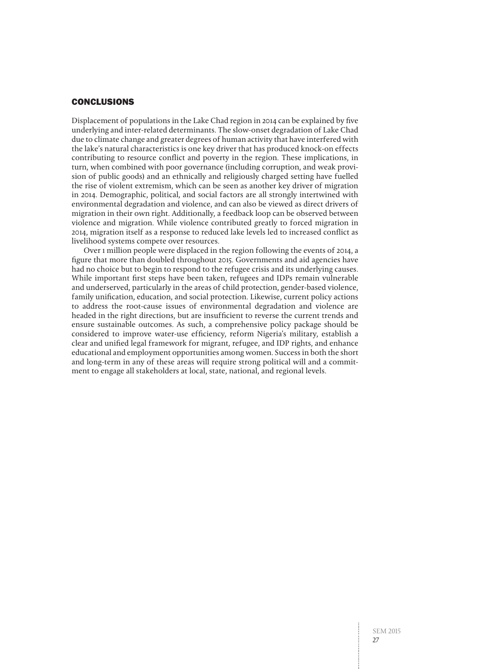### **CONCLUSIONS**

Displacement of populations in the Lake Chad region in 2014 can be explained by five underlying and inter-related determinants. The slow-onset degradation of Lake Chad due to climate change and greater degrees of human activity that have interfered with the lake's natural characteristics is one key driver that has produced knock-on effects contributing to resource conflict and poverty in the region. These implications, in turn, when combined with poor governance (including corruption, and weak provision of public goods) and an ethnically and religiously charged setting have fuelled the rise of violent extremism, which can be seen as another key driver of migration in 2014. Demographic, political, and social factors are all strongly intertwined with environmental degradation and violence, and can also be viewed as direct drivers of migration in their own right. Additionally, a feedback loop can be observed between violence and migration. While violence contributed greatly to forced migration in 2014, migration itself as a response to reduced lake levels led to increased conflict as livelihood systems compete over resources.

Over 1 million people were displaced in the region following the events of 2014, a figure that more than doubled throughout 2015. Governments and aid agencies have had no choice but to begin to respond to the refugee crisis and its underlying causes. While important first steps have been taken, refugees and IDPs remain vulnerable and underserved, particularly in the areas of child protection, gender-based violence, family unification, education, and social protection. Likewise, current policy actions to address the root-cause issues of environmental degradation and violence are headed in the right directions, but are insufficient to reverse the current trends and ensure sustainable outcomes. As such, a comprehensive policy package should be considered to improve water-use efficiency, reform Nigeria's military, establish a clear and unified legal framework for migrant, refugee, and IDP rights, and enhance educational and employment opportunities among women. Success in both the short and long-term in any of these areas will require strong political will and a commitment to engage all stakeholders at local, state, national, and regional levels.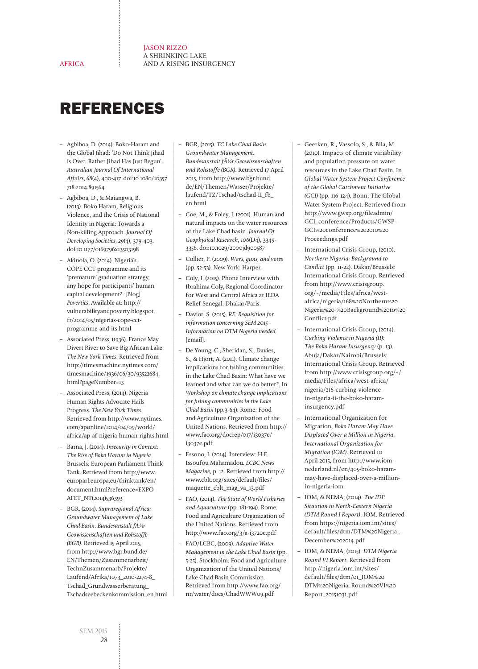REFERENCES

AFRICA

- Agbiboa, D. (2014). Boko-Haram and the Global Jihad: 'Do Not Think Jihad is Over. Rather Jihad Has Just Begun'. Australian Journal Of International Affairs, 68(4), 400-417. doi:10.1080/10357 718.2014.891564
- Agbiboa, D., & Maiangwa, B. (2013). Boko Haram, Religious Violence, and the Crisis of National Identity in Nigeria: Towards a Non-killing Approach. Journal Of Developing Societies, 29(4), 379-403. doi:10.1177/0169796x13503198
- Akinola, O. (2014). Nigeria's COPE CCT programme and its 'premature' graduation strategy, any hope for participants' human capital development?. [Blog] Povertics. Available at: [http://](http://vulnerabilityandpoverty.blogspot.fr/2014/05/nigerias-cope-cct-programme-and-its.html) [vulnerabilityandpoverty.blogspot.](http://vulnerabilityandpoverty.blogspot.fr/2014/05/nigerias-cope-cct-programme-and-its.html) [fr/2014/05/nigerias-cope-cct](http://vulnerabilityandpoverty.blogspot.fr/2014/05/nigerias-cope-cct-programme-and-its.html)[programme-and-its.html](http://vulnerabilityandpoverty.blogspot.fr/2014/05/nigerias-cope-cct-programme-and-its.html)
- Associated Press, (1936). France May Divert River to Save Big African Lake. The New York Times. Retrieved from [http://timesmachine.nytimes.com/](http://timesmachine.nytimes.com/timesmachine/1936/06/30/93522684.html?pageNumber=13) [timesmachine/1936/06/30/93522684.](http://timesmachine.nytimes.com/timesmachine/1936/06/30/93522684.html?pageNumber=13) [html?pageNumber=13](http://timesmachine.nytimes.com/timesmachine/1936/06/30/93522684.html?pageNumber=13)
- Associated Press, (2014). Nigeria Human Rights Advocate Hails Progress. The New York Times. Retrieved from [http://www.nytimes.](http://www.nytimes.com/aponline/2014/04/09/world/africa/ap-af-nigeria-human-rights.html) [com/aponline/2014/04/09/world/](http://www.nytimes.com/aponline/2014/04/09/world/africa/ap-af-nigeria-human-rights.html) [africa/ap-af-nigeria-human-rights.html](http://www.nytimes.com/aponline/2014/04/09/world/africa/ap-af-nigeria-human-rights.html)
- Barna, J. (2014). Insecurity in Context: The Rise of Boko Haram in Nigeria. Brussels: European Parliament Think Tank. Retrieved from [http://www.](http://www.europarl.europa.eu/thinktank/en/document.html?reference=EXPO-AFET_NT(2014)536393) [europarl.europa.eu/thinktank/en/](http://www.europarl.europa.eu/thinktank/en/document.html?reference=EXPO-AFET_NT(2014)536393) [document.html?reference=EXPO-](http://www.europarl.europa.eu/thinktank/en/document.html?reference=EXPO-AFET_NT(2014)536393)[AFET\\_NT\(2014\)536393](http://www.europarl.europa.eu/thinktank/en/document.html?reference=EXPO-AFET_NT(2014)536393)
- BGR, (2014). Supraregional Africa: Groundwater Management of Lake Chad Basin. Bundesanstalt f $\tilde{A}$ 1/4r Geowissenschaften und Rohstoffe (BGR). Retrieved 15 April 2015, from [http://www.bgr.bund.de/](http://www.bgr.bund.de/EN/Themen/Zusammenarbeit/TechnZusammenarb/Projekte/Laufend/Afrika/1073_2010-2274-8_Tschad_Grundwasserberatung_Tschadseebeckenkommission_en.html) [EN/Themen/Zusammenarbeit/](http://www.bgr.bund.de/EN/Themen/Zusammenarbeit/TechnZusammenarb/Projekte/Laufend/Afrika/1073_2010-2274-8_Tschad_Grundwasserberatung_Tschadseebeckenkommission_en.html) [TechnZusammenarb/Projekte/](http://www.bgr.bund.de/EN/Themen/Zusammenarbeit/TechnZusammenarb/Projekte/Laufend/Afrika/1073_2010-2274-8_Tschad_Grundwasserberatung_Tschadseebeckenkommission_en.html) [Laufend/Afrika/1073\\_2010-2274-8\\_](http://www.bgr.bund.de/EN/Themen/Zusammenarbeit/TechnZusammenarb/Projekte/Laufend/Afrika/1073_2010-2274-8_Tschad_Grundwasserberatung_Tschadseebeckenkommission_en.html) [Tschad\\_Grundwasserberatung\\_](http://www.bgr.bund.de/EN/Themen/Zusammenarbeit/TechnZusammenarb/Projekte/Laufend/Afrika/1073_2010-2274-8_Tschad_Grundwasserberatung_Tschadseebeckenkommission_en.html) [Tschadseebeckenkommission\\_en.html](http://www.bgr.bund.de/EN/Themen/Zusammenarbeit/TechnZusammenarb/Projekte/Laufend/Afrika/1073_2010-2274-8_Tschad_Grundwasserberatung_Tschadseebeckenkommission_en.html)
- BGR, (2015). TC Lake Chad Basin: Groundwater Management. Bundesanstalt f $\tilde{A}$ ¼r Geowissenschaften und Rohstoffe (BGR). Retrieved 17 April 2015, from [http://www.bgr.bund.](http://www.bgr.bund.de/EN/Themen/Wasser/Projekte/laufend/TZ/Tschad/tschad-II_fb_en.html) [de/EN/Themen/Wasser/Projekte/](http://www.bgr.bund.de/EN/Themen/Wasser/Projekte/laufend/TZ/Tschad/tschad-II_fb_en.html) [laufend/TZ/Tschad/tschad-II\\_fb\\_](http://www.bgr.bund.de/EN/Themen/Wasser/Projekte/laufend/TZ/Tschad/tschad-II_fb_en.html) [en.html](http://www.bgr.bund.de/EN/Themen/Wasser/Projekte/laufend/TZ/Tschad/tschad-II_fb_en.html)
- Coe, M., & Foley, J. (2001). Human and natural impacts on the water resources of the Lake Chad basin. Journal Of Geophysical Research, 106(D4), 3349- 3356. doi:10.1029/2000jd900587
- Collier, P. (2009). Wars, guns, and votes (pp. 52-53). New York: Harper.
- Coly, I. (2015). Phone Interview with Ibrahima Coly, Regional Coordinator for West and Central Africa at IEDA Relief Senegal. Dhakar/Paris.
- Daviot, S. (2015). RE: Requisition for information concerning SEM 2015 - Information on DTM Nigeria needed. [email].
- De Young, C., Sheridan, S., Davies, S., & Hjort, A. (2011). Climate change implications for fishing communities in the Lake Chad Basin: What have we learned and what can we do better?. In Workshop on climate change implications for fishing communities in the Lake Chad Basin (pp.3-64). Rome: Food and Agriculture Organization of the United Nations. Retrieved from [http://](http://www.fao.org/docrep/017/i3037e/i3037e.pdf) [www.fao.org/docrep/017/i3037e/](http://www.fao.org/docrep/017/i3037e/i3037e.pdf) [i3037e.pdf](http://www.fao.org/docrep/017/i3037e/i3037e.pdf)
- Essono, I. (2014). Interview: H.E. Issoufou Mahamadou. LCBC News Magazine, p. 12. Retrieved from [http://](http://www.cblt.org/sites/default/files/maquette_cblt_mag_va_13.pdf) [www.cblt.org/sites/default/files/](http://www.cblt.org/sites/default/files/maquette_cblt_mag_va_13.pdf) [maquette\\_cblt\\_mag\\_va\\_13.pdf](http://www.cblt.org/sites/default/files/maquette_cblt_mag_va_13.pdf)
- FAO, (2014). The State of World Fisheries and Aquaculture (pp. 181-194). Rome: Food and Agriculture Organization of the United Nations. Retrieved from <http://www.fao.org/3/a-i3720e.pdf>
- FAO/LCBC, (2009). Adaptive Water Management in the Lake Chad Basin (pp. 5-25). Stockholm: Food and Agriculture Organization of the United Nations/ Lake Chad Basin Commission. Retrieved from [http://www.fao.org/](http://www.fao.org/nr/water/docs/ChadWWW09.pdf) [nr/water/docs/ChadWWW09.pdf](http://www.fao.org/nr/water/docs/ChadWWW09.pdf)
- Geerken, R., Vassolo, S., & Bila, M. (2010). Impacts of climate variability and population pressure on water resources in the Lake Chad Basin. In Global Water System Project Conference of the Global Catchment Initiative (GCI) (pp. 116-124). Bonn: The Global Water System Project. Retrieved from [http://www.gwsp.org/fileadmin/](http://www.gwsp.org/fileadmin/GCI_conference/Products/GWSP-GCI%20conference%202010%20Proceedings.pdf) [GCI\\_conference/Products/GWSP-](http://www.gwsp.org/fileadmin/GCI_conference/Products/GWSP-GCI%20conference%202010%20Proceedings.pdf)[GCI%20conference%202010%20](http://www.gwsp.org/fileadmin/GCI_conference/Products/GWSP-GCI%20conference%202010%20Proceedings.pdf) [Proceedings.pdf](http://www.gwsp.org/fileadmin/GCI_conference/Products/GWSP-GCI%20conference%202010%20Proceedings.pdf)
- International Crisis Group, (2010). Northern Nigeria: Background to Conflict (pp. 11-22). Dakar/Brussels: International Crisis Group. Retrieved from [http://www.crisisgroup.](http://www.crisisgroup.org/~/media/Files/africa/west-africa/nigeria/168%20Northern%20Nigeria%20-%20Background%20to%20Conflict.pdf) [org/~/media/Files/africa/west](http://www.crisisgroup.org/~/media/Files/africa/west-africa/nigeria/168%20Northern%20Nigeria%20-%20Background%20to%20Conflict.pdf)[africa/nigeria/168%20Northern%20](http://www.crisisgroup.org/~/media/Files/africa/west-africa/nigeria/168%20Northern%20Nigeria%20-%20Background%20to%20Conflict.pdf) [Nigeria%20-%20Background%20to%20](http://www.crisisgroup.org/~/media/Files/africa/west-africa/nigeria/168%20Northern%20Nigeria%20-%20Background%20to%20Conflict.pdf) [Conflict.pdf](http://www.crisisgroup.org/~/media/Files/africa/west-africa/nigeria/168%20Northern%20Nigeria%20-%20Background%20to%20Conflict.pdf)
- International Crisis Group, (2014). Curbing Violence in Nigeria (II): The Boko Haram Insurgency (p. 13). Abuja/Dakar/Nairobi/Brussels: International Crisis Group. Retrieved from [http://www.crisisgroup.org/~/](http://www.crisisgroup.org/~/media/Files/africa/west-africa/nigeria/216-curbing-violence-in-nigeria-ii-the-boko-haram-insurgency.pdf) [media/Files/africa/west-africa/](http://www.crisisgroup.org/~/media/Files/africa/west-africa/nigeria/216-curbing-violence-in-nigeria-ii-the-boko-haram-insurgency.pdf) [nigeria/216-curbing-violence](http://www.crisisgroup.org/~/media/Files/africa/west-africa/nigeria/216-curbing-violence-in-nigeria-ii-the-boko-haram-insurgency.pdf)[in-nigeria-ii-the-boko-haram](http://www.crisisgroup.org/~/media/Files/africa/west-africa/nigeria/216-curbing-violence-in-nigeria-ii-the-boko-haram-insurgency.pdf)[insurgency.pdf](http://www.crisisgroup.org/~/media/Files/africa/west-africa/nigeria/216-curbing-violence-in-nigeria-ii-the-boko-haram-insurgency.pdf)
- International Organization for Migration, Boko Haram May Have Displaced Over a Million in Nigeria. International Organization for Migration (IOM). Retrieved 10 April 2015, from [http://www.iom](http://www.iom-nederland.nl/en/405-boko-haram-may-have-displaced-over-a-million-in-nigeria-iom)[nederland.nl/en/405-boko-haram](http://www.iom-nederland.nl/en/405-boko-haram-may-have-displaced-over-a-million-in-nigeria-iom)[may-have-displaced-over-a-million](http://www.iom-nederland.nl/en/405-boko-haram-may-have-displaced-over-a-million-in-nigeria-iom)[in-nigeria-iom](http://www.iom-nederland.nl/en/405-boko-haram-may-have-displaced-over-a-million-in-nigeria-iom)
- IOM, & NEMA, (2014). The IDP Situation in North-Eastern Nigeria (DTM Round I Report). IOM. Retrieved from [https://nigeria.iom.int/sites/](https://nigeria.iom.int/sites/default/files/dtm/DTM%20Nigeria_December%202014.pdf) [default/files/dtm/DTM%20Nigeria\\_](https://nigeria.iom.int/sites/default/files/dtm/DTM%20Nigeria_December%202014.pdf) [December%202014.pdf](https://nigeria.iom.int/sites/default/files/dtm/DTM%20Nigeria_December%202014.pdf)
- IOM, & NEMA, (2015). DTM Nigeria Round VI Report. Retrieved from [http://nigeria.iom.int/sites/](http://nigeria.iom.int/sites/default/files/dtm/01_IOM%20DTM%20Nigeria_Round%20VI%20Report_20151031.pdf) [default/files/dtm/01\\_IOM%20](http://nigeria.iom.int/sites/default/files/dtm/01_IOM%20DTM%20Nigeria_Round%20VI%20Report_20151031.pdf) [DTM%20Nigeria\\_Round%20VI%20](http://nigeria.iom.int/sites/default/files/dtm/01_IOM%20DTM%20Nigeria_Round%20VI%20Report_20151031.pdf) [Report\\_20151031.pdf](http://nigeria.iom.int/sites/default/files/dtm/01_IOM%20DTM%20Nigeria_Round%20VI%20Report_20151031.pdf)